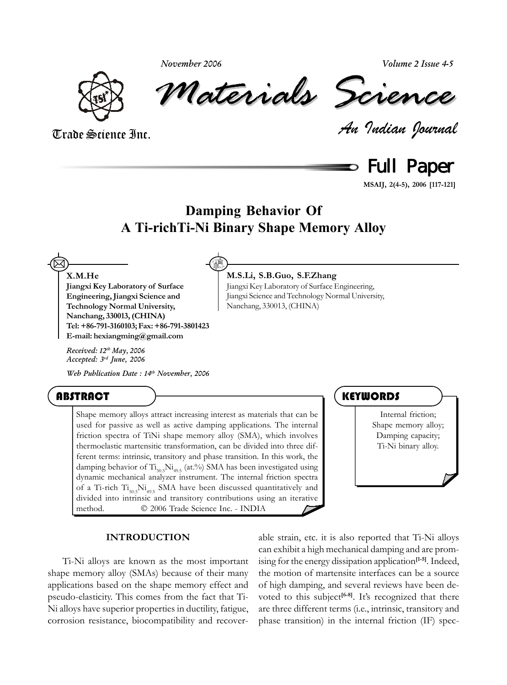*November 2006*





*Materials Science Materials Science*

*An Indian Journal* Trade Science Inc.

Full Paper

**MSAIJ, 2(4-5), 2006 [117-121]**

## **Damping Behavior Of A Ti-richTi-Ni Binary Shape Memory Alloy**

**M.S.Li, S.B.Guo, S.F.Zhang**

Nanchang, 330013, (CHINA)

Jiangxi Key Laboratory of Surface Engineering, Jiangxi Science and Technology Normal University,

#### **X.M.He**

 $\boxtimes$ 

**Jiangxi Key Laboratory of Surface Engineering, Jiangxi Science and Technology Normal University, Nanchang, 330013, (CHINA) Tel: +86-791-3160103; Fax: +86-791-3801423 E-mail: hexiangming@gmail.com**

*Received: 12th May, 2006 Accepted: 3rd June, 2006*

*Web Publication Date : 14th November, 2006*

### ABSTRACT <del>) \_\_\_\_\_\_\_\_\_\_\_\_\_\_\_\_\_\_\_\_\_\_\_\_\_\_\_\_\_</del> (KEYWORDS

Shape memory alloys attract increasing interest as materials that can be used for passive as well as active damping applications. The internal friction spectra of TiNi shape memory alloy (SMA), which involves thermoelastic martensitic transformation, can be divided into three different terms: intrinsic, transitory and phase transition. In this work, the damping behavior of  $Ti_{505}Ni_{495}$  (at.%) SMA has been investigated using dynamic mechanical analyzer instrument. The internal friction spectra of a Ti-rich  $Ti_{50.5}Ni_{49.5}$  SMA have been discussed quantitatively and divided into intrinsic and transitory contributions using an iterative method.  $\circ$  2006 Trade Science Inc. - INDIA

Internal friction; Shape memory alloy; Damping capacity; Ti-Ni binary alloy.

#### **INTRODUCTION**

Ti-Ni alloys are known as the most important shape memory alloy (SMAs) because of their many applications based on the shape memory effect and pseudo-elasticity. This comes from the fact that Ti-Ni alloys have superior properties in ductility, fatigue, corrosion resistance, biocompatibility and recoverable strain, etc. it is also reported that Ti-Ni alloys can exhibit a high mechanical damping and are promising for the energy dissipation application**[1-5]**. Indeed, the motion of martensite interfaces can be a source of high damping, and several reviews have been devoted to this subject<sup>[6-8]</sup>. It's recognized that there are three different terms (i.e., intrinsic, transitory and phase transition) in the internal friction (IF) spec-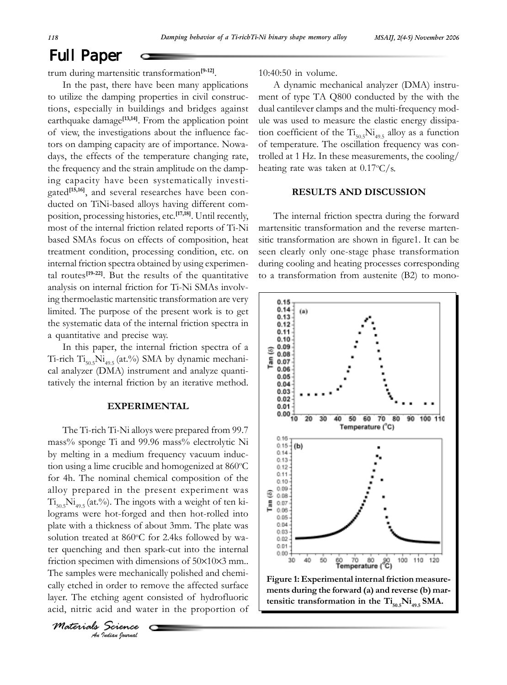# Full Paper

trum during martensitic transformation**[9-12]**.

In the past, there have been many applications to utilize the damping properties in civil constructions, especially in buildings and bridges against earthquake damage<sup>[13,14]</sup>. From the application point of view, the investigations about the influence factors on damping capacity are of importance. Nowadays, the effects of the temperature changing rate, the frequency and the strain amplitude on the damping capacity have been systematically investigated**[15,16]**, and several researches have been conducted on TiNi-based alloys having different composition, processing histories, etc.**[17,18]**. Until recently, most of the internal friction related reports of Ti-Ni based SMAs focus on effects of composition, heat treatment condition, processing condition, etc. on internal friction spectra obtained by using experimental routes**[19-22]**. But the results of the quantitative analysis on internal friction for Ti-Ni SMAs involving thermoelastic martensitic transformation are very limited. The purpose of the present work is to get the systematic data of the internal friction spectra in a quantitative and precise way.

In this paper, the internal friction spectra of a Ti-rich  $Ti_{50.5}Ni_{40.5}$  (at.%) SMA by dynamic mechanical analyzer (DMA) instrument and analyze quantitatively the internal friction by an iterative method.

#### **EXPERIMENTAL**

The Ti-rich Ti-Ni alloys were prepared from 99.7 mass% sponge Ti and 99.96 mass% electrolytic Ni by melting in a medium frequency vacuum induction using a lime crucible and homogenized at 860°C for 4h. The nominal chemical composition of the alloy prepared in the present experiment was  $Ti_{50.5}Ni_{40.5}$  (at.%). The ingots with a weight of ten kilograms were hot-forged and then hot-rolled into plate with a thickness of about 3mm. The plate was solution treated at 860°C for 2.4ks followed by water quenching and then spark-cut into the internal friction specimen with dimensions of 50×10×3 mm.. The samples were mechanically polished and chemically etched in order to remove the affected surface layer. The etching agent consisted of hydrofluoric acid, nitric acid and water in the proportion of

Ĉ

*An Indian Journal Materials Science* 10:40:50 in volume.

A dynamic mechanical analyzer (DMA) instrument of type TA Q800 conducted by the with the dual cantilever clamps and the multi-frequency module was used to measure the elastic energy dissipation coefficient of the  $\mathrm{Ti}_{50.5}\mathrm{Ni}_{49.5}$  alloy as a function of temperature. The oscillation frequency was controlled at 1 Hz. In these measurements, the cooling/ heating rate was taken at 0.17°C/s.

#### **RESULTS AND DISCUSSION**

The internal friction spectra during the forward martensitic transformation and the reverse martensitic transformation are shown in figure1. It can be seen clearly only one-stage phase transformation during cooling and heating processes corresponding to a transformation from austenite (B2) to mono-

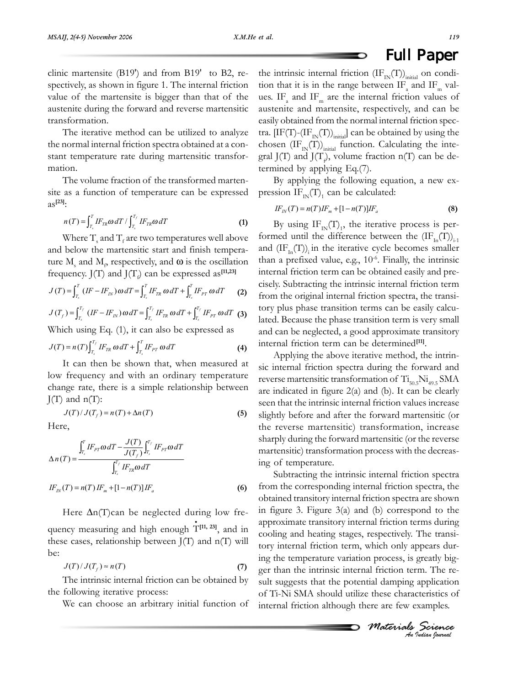# Full Paper

clinic martensite (B19') and from B19' to B2, respectively, as shown in figure 1. The internal friction value of the martensite is bigger than that of the austenite during the forward and reverse martensitic transformation.

The iterative method can be utilized to analyze the normal internal friction spectra obtained at a constant temperature rate during martensitic transformation.

The volume fraction of the transformed martensite as a function of temperature can be expressed as**[23]**:

$$
n(T) = \int_{T_s}^{T} I F_{TR} \omega dT / \int_{T_s}^{T_f} I F_{TR} \omega dT \tag{1}
$$

Where  $T_{\rm s}$  and  $T_{\rm f}$  are two temperatures well above and below the martensitic start and finish temperature  $M_s$  and  $M_p$  respectively, and  $\omega$  is the oscillation frequency.  $J(T)$  and  $J(T_f)$  can be expressed as<sup>[11,23]</sup>

$$
J(T) = \int_{T_s}^{T} (IF - IF_{IN}) \omega dT = \int_{T_s}^{T} IF_{TR} \omega dT + \int_{T_s}^{T} IF_{PT} \omega dT \qquad (2)
$$

$$
J(T_f) = \int_{T_s}^{T_f} (IF - IF_{IN}) \omega dT = \int_{T_s}^{T_f} IF_{TR} \omega dT + \int_{T_s}^{T_f} IF_{PT} \omega dT
$$
 (3)

Which using Eq. (1), it can also be expressed as

$$
J(T) = n(T) \int_{T_s}^{T_f} I F_{TR} \omega dT + \int_{T_s}^{T} I F_{PT} \omega dT \tag{4}
$$

It can then be shown that, when measured at low frequency and with an ordinary temperature change rate, there is a simple relationship between  $J(T)$  and  $n(T)$ :

$$
J(T)/J(T_f) = n(T) + \Delta n(T)
$$
 (5)

Here,

$$
\Delta n(T) = \frac{\int_{T_s}^{T} IF_{PT}\omega dT - \frac{J(T)}{J(T_f)}\int_{T_s}^{T_f} IF_{PT}\omega dT}{\int_{T_s}^{T_f} IF_{TR}\omega dT}
$$
  

$$
IF_{IN}(T) = n(T) IF_m + [1 - n(T)]IF_a
$$
 (6)

Here  $\Delta n(T)$ can be neglected during low fre-

quency measuring and high enough T<sup>[11, 23]</sup>, and in these cases, relationship between  $J(T)$  and  $n(T)$  will be:

$$
J(T)/J(T_f) \approx n(T) \tag{7}
$$

The intrinsic internal friction can be obtained by the following iterative process:

We can choose an arbitrary initial function of

the intrinsic internal friction  $(\text{IF}_{\text{IN}}(T))$ <sub>initial</sub> on condition that it is in the range between  $IF_a$  and  $IF_m$  values. IF<sub>a</sub> and IF<sub>m</sub> are the internal friction values of austenite and martensite, respectively, and can be easily obtained from the normal internal friction spectra.  $[IF(T)-(IF_{IN}(T))_{initial}]$  can be obtained by using the chosen  $(\text{IF}_{\text{IN}}(T))_{\text{initial}}$  function. Calculating the integral J(T) and J(T<sub>i</sub>), volume fraction  $n(T)$  can be determined by applying Eq.(7).

By applying the following equation, a new expression  $IF_{IN}(T)$ <sub>1</sub> can be calculated:

$$
IF_{IN}(T) = n(T)IF_{m} + [1 - n(T)]IF_{a}
$$
\n(8)

By using  $IF_{IN}(T)<sub>1</sub>$ , the iterative process is performed until the difference between the  $(\mathrm{IF}_{\mathrm{In}}(T))_{i-1}$ and  $(\text{IF}_{\text{In}}(T))$  in the iterative cycle becomes smaller than a prefixed value, e.g.,  $10^{-6}$ . Finally, the intrinsic internal friction term can be obtained easily and precisely. Subtracting the intrinsic internal friction term from the original internal friction spectra, the transitory plus phase transition terms can be easily calculated. Because the phase transition term is very small and can be neglected, a good approximate transitory internal friction term can be determined**[11]**.

Applying the above iterative method, the intrinsic internal friction spectra during the forward and reverse martensitic transformation of  $\text{Ti}_{50.5}\text{Ni}_{49.5}\text{SMA}$ are indicated in figure 2(a) and (b). It can be clearly seen that the intrinsic internal friction values increase slightly before and after the forward martensitic (or the reverse martensitic) transformation, increase sharply during the forward martensitic (or the reverse martensitic) transformation process with the decreasing of temperature.

Subtracting the intrinsic internal friction spectra from the corresponding internal friction spectra, the obtained transitory internal friction spectra are shown in figure 3. Figure 3(a) and (b) correspond to the approximate transitory internal friction terms during cooling and heating stages, respectively. The transitory internal friction term, which only appears during the temperature variation process, is greatly bigger than the intrinsic internal friction term. The result suggests that the potential damping application of Ti-Ni SMA should utilize these characteristics of internal friction although there are few examples.

*Materials Science An Indian Journal*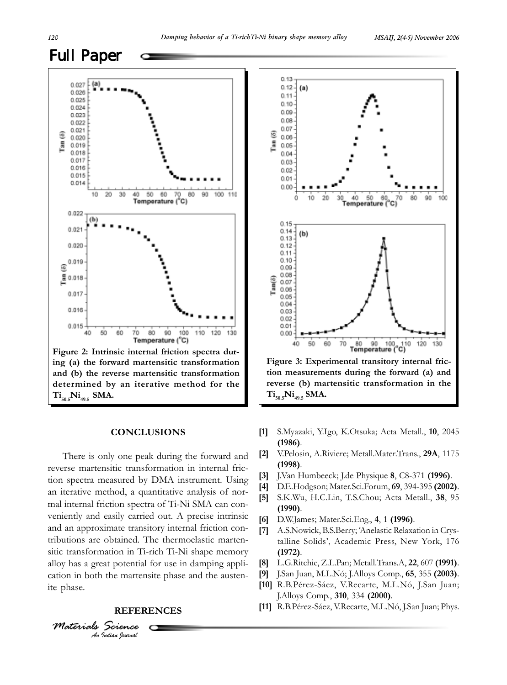

#### **CONCLUSIONS**

There is only one peak during the forward and reverse martensitic transformation in internal friction spectra measured by DMA instrument. Using an iterative method, a quantitative analysis of normal internal friction spectra of Ti-Ni SMA can conveniently and easily carried out. A precise intrinsic and an approximate transitory internal friction contributions are obtained. The thermoelastic martensitic transformation in Ti-rich Ti-Ni shape memory alloy has a great potential for use in damping application in both the martensite phase and the austenite phase.

#### **REFERENCES**

*An Indian Journal*

*Materials Science*



**tion measurements during the forward (a) and reverse (b) martensitic transformation in the Ti50.5Ni49.5 SMA.**

- **[1]** S.Myazaki, Y.Igo, K.Otsuka; Acta Metall., **10**, 2045 **(1986)**.
- **[2]** V.Pelosin, A.Riviere; Metall.Mater.Trans., **29A**, 1175 **(1998)**.
- **[3]** J.Van Humbeeck; J.de Physique **8**, C8-371 **(1996)**.
- **[4]** D.E.Hodgson; Mater.Sci.Forum, **69**, 394-395 **(2002)**.
- **[5]** S.K.Wu, H.C.Lin, T.S.Chou; Acta Metall., **38**, 95 **(1990)**.
- **[6]** D.W.James; Mater.Sci.Eng., **4**, 1 **(1996)**.
- **[7]** A.S.Nowick, B.S.Berry; 'Anelastic Relaxation in Crystalline Solids', Academic Press, New York, 176 **(1972)**.
- **[8]** L.G.Ritchie, Z.L.Pan; Metall.Trans.A, **22**, 607 **(1991)**.
- **[9]** J.San Juan, M.L.Nó; J.Alloys Comp., **65**, 355 **(2003)**.
- **[10]** R.B.Pérez-Sáez, V.Recarte, M.L.Nó, J.San Juan; J.Alloys Comp., **310**, 334 **(2000)**.
- **[11]** R.B.Pérez-Sáez, V.Recarte, M.L.Nó, J.San Juan; Phys.